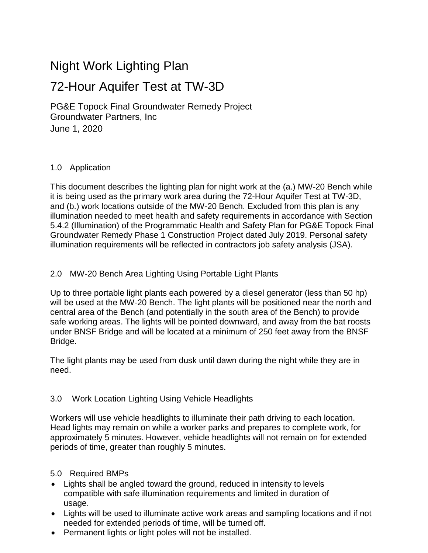# Night Work Lighting Plan

# 72-Hour Aquifer Test at TW-3D

PG&E Topock Final Groundwater Remedy Project Groundwater Partners, Inc June 1, 2020

#### 1.0 Application

This document describes the lighting plan for night work at the (a.) MW-20 Bench while it is being used as the primary work area during the 72-Hour Aquifer Test at TW-3D, and (b.) work locations outside of the MW-20 Bench. Excluded from this plan is any illumination needed to meet health and safety requirements in accordance with Section 5.4.2 (Illumination) of the Programmatic Health and Safety Plan for PG&E Topock Final Groundwater Remedy Phase 1 Construction Project dated July 2019. Personal safety illumination requirements will be reflected in contractors job safety analysis (JSA).

## 2.0 MW-20 Bench Area Lighting Using Portable Light Plants

Up to three portable light plants each powered by a diesel generator (less than 50 hp) will be used at the MW-20 Bench. The light plants will be positioned near the north and central area of the Bench (and potentially in the south area of the Bench) to provide safe working areas. The lights will be pointed downward, and away from the bat roosts under BNSF Bridge and will be located at a minimum of 250 feet away from the BNSF Bridge.

The light plants may be used from dusk until dawn during the night while they are in need.

### 3.0 Work Location Lighting Using Vehicle Headlights

Workers will use vehicle headlights to illuminate their path driving to each location. Head lights may remain on while a worker parks and prepares to complete work, for approximately 5 minutes. However, vehicle headlights will not remain on for extended periods of time, greater than roughly 5 minutes.

#### 5.0 Required BMPs

- Lights shall be angled toward the ground, reduced in intensity to levels compatible with safe illumination requirements and limited in duration of usage.
- Lights will be used to illuminate active work areas and sampling locations and if not needed for extended periods of time, will be turned off.
- Permanent lights or light poles will not be installed.